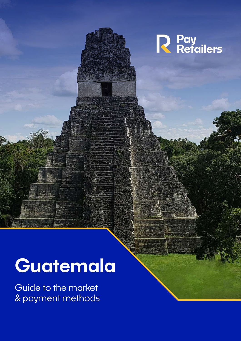

# **Guatemala**

Guide to the market & payment methods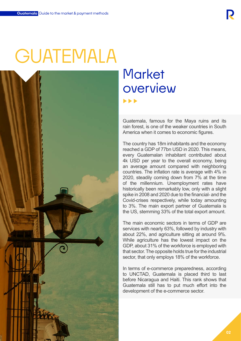# GUATEMALA



# **Market** overview

Guatemala, famous for the Maya ruins and its rain forest, is one of the weaker countries in South America when it comes to economic figures.

The country has 18m inhabitants and the economy reached a GDP of 77bn USD in 2020. This means, every Guatemalan inhabitant contributed about 4k USD per year to the overall economy, being an average amount compared with neighboring countries. The inflation rate is average with 4% in 2020, steadily coming down from 7% at the time of the millennium. Unemployment rates have historically been remarkably low, only with a slight spike in 2008 and 2020 due to the financial- and the Covid-crises respectively, while today amounting to 3%. The main export partner of Guatemala is the US, stemming 33% of the total export amount.

The main economic sectors in terms of GDP are services with nearly 63%, followed by industry with about 22%, and agriculture sitting at around 9%. While agriculture has the lowest impact on the GDP, about 31% of the workforce is employed with that sector. The opposite holds true for the industrial sector, that only employs 18% of the workforce.

In terms of e-commerce preparedness, according to UNCTAD, Guatemala is placed third to last before Nicaragua and Haiti. This rank shows that Guatemala still has to put much effort into the development of the e-commerce sector.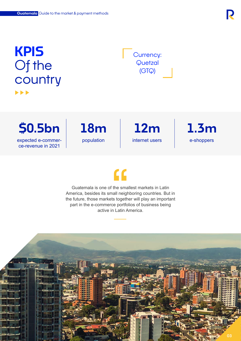### **KPIS**  Of the **country**  $\blacktriangleright$

Currency: **Quetzal** (GTQ)

**\$0.5bn 18m 1.3m** expected e-commerce-revenue in 2021

population internet users e-shoppers **12m** internet users

## $\mathbf{C}$

Guatemala is one of the smallest markets in Latin America, besides its small neighboring countries. But in the future, those markets together will play an important part in the e-commerce portfolios of business being active in Latin America.

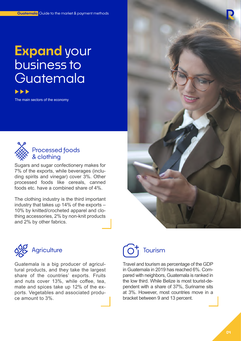# **Expand** your business to Guatemala

The main sectors of the economy



#### Processed foods & clothing

Sugars and sugar confectionery makes for 7% of the exports, while beverages (including spirits and vinegar) cover 3%. Other processed foods like cereals, canned foods etc. have a combined share of 4%.

The clothing industry is the third important industry that takes up 14% of the exports – 10% by knitted/crocheted apparel and clothing accessories, 2% by non-knit products and 2% by other fabrics.





Guatemala is a big producer of agricultural products, and they take the largest share of the countries' exports. Fruits and nuts cover 13%, while coffee, tea, mate and spices take up 12% of the exports. Vegetables and associated produce amount to 3%.



Travel and tourism as percentage of the GDP in Guatemala in 2019 has reached 6%. Compared with neighbors, Guatemala is ranked in the low third. While Belize is most tourist-dependent with a share of 37%, Suriname sits at 3%. However, most countries move in a bracket between 9 and 13 percent.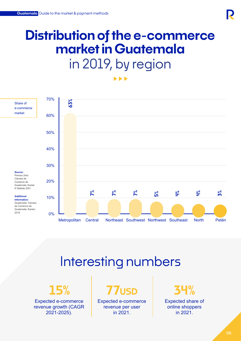# **Distribution of the e-commerce market in Guatemala**  in 2019, by region

 $\blacktriangleright$ 



## Interesting numbers

Expected e-commerce revenue growth (CAGR 2021-2025).

**15% 77usd 34%** 

Expected e-commerce revenue per user in 2021.

Expected share of online shoppers in 2021.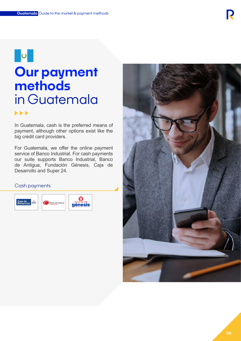## **O**

### **Our payment methods** in Guatemala  $\blacktriangleright$

In Guatemala, cash is the preferred means of payment, although other options exist like the big credit card providers.

For Guatemala, we offer the online payment service of Banco Industrial. For cash payments our suite supports Banco Industrial, Banco de Antigua, Fundación Génesis, Caja de Desarrollo and Super 24.

#### Cash payments



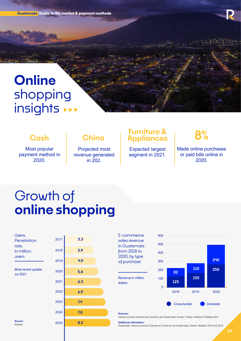**Guatemala Guide to the market & payment methods** 

## **Online** shopping insights \*\*\*

#### **Cash**

Most popular payment method in 2020.

#### **China**

Projected most revenue generated in 202.

#### **Furniture & Appliances 8%**

Expected largest segment in 2021.

Made online purchases or paid bills online in 2020.

## Growth of **online shopping**

| Users.      |
|-------------|
| Penetration |
| rate.       |
| In million  |
| users       |
|             |

Most recent update: Jul 2021



#### E-commerce sales revenue in Guatemala from 2018 to 2020, by type of purchase

Revenue in million dollars



#### **Sources:**

Various sources (Cámara de Comercio de Guatemala); Kantar; Forbes; Statista © Statista 2021

#### **Additional information:**

Guatemala; Various sources (Cámara de Comercio de Guatemala); Kantar; Statista; 2018 and 2019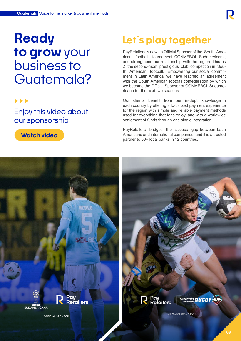### **Ready to grow** your business to Guatemala?

#### $\blacktriangleright\blacktriangleright\blacktriangleright$

Enjoy this video about our sponsorship



### **Let´s play together**

PayRetailers is now an Official Sponsor of the South American football tournament CONMEBOL Sudamericana, and strengthens our relationship with the region. This is Z, the second-most prestigious club competition in South American football. Empowering our social commitment in Latin America, we have reached an agreement with the South American football confederation by which we become the Official Sponsor of CONMEBOL Sudamericana for the next two seasons.

Our clients benefit from our in-depth knowledge in each country by offering a lo-calized payment experience for the region with simple and reliable payment methods used for everything that fans enjoy, and with a worldwide settlement of funds through one single integration.

PayRetailers bridges the access gap between Latin Americans and international companies, and it is a trusted partner to 50+ local banks in 12 countries.

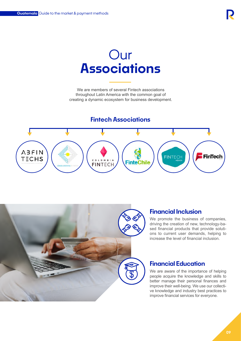### Our **Associations**

We are members of several Fintech associations throughout Latin America with the common goal of creating a dynamic ecosystem for business development.

#### **Fintech Associations**





#### **Financial Inclusion**

We promote the business of companies, driving the creation of new, technology-based financial products that provide solutions to current user demands, helping to increase the level of financial inclusion.

#### **Financial Education**

We are aware of the importance of helping people acquire the knowledge and skills to better manage their personal finances and improve their well-being. We use our collective knowledge and industry best practices to improve financial services for everyone.